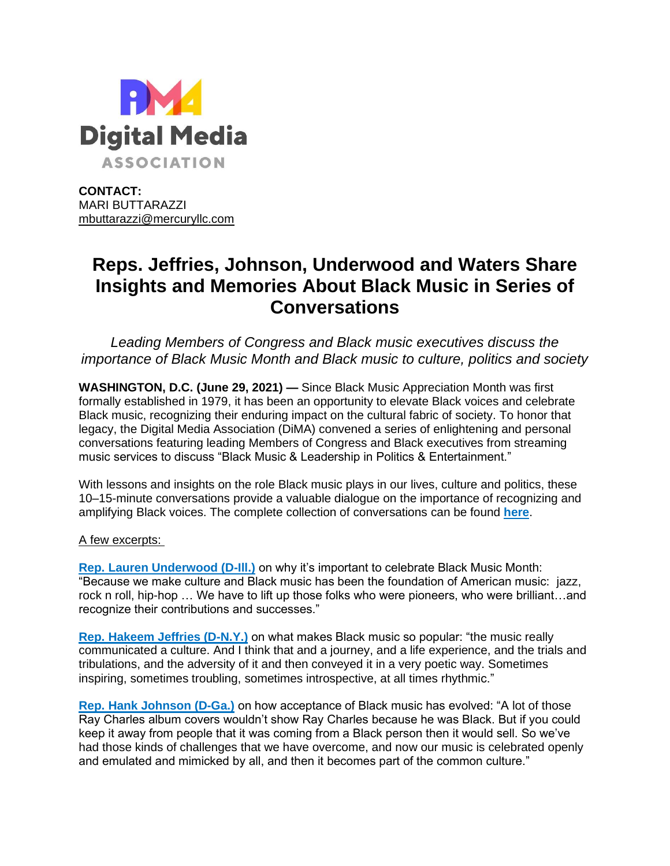

**CONTACT:** MARI BUTTARAZZI [mbuttarazzi@mercuryllc.com](mailto:mbuttarazzi@mercuryllc.com)

## **Reps. Jeffries, Johnson, Underwood and Waters Share Insights and Memories About Black Music in Series of Conversations**

*Leading Members of Congress and Black music executives discuss the importance of Black Music Month and Black music to culture, politics and society*

**WASHINGTON, D.C. (June 29, 2021) —** Since Black Music Appreciation Month was first formally established in 1979, it has been an opportunity to elevate Black voices and celebrate Black music, recognizing their enduring impact on the cultural fabric of society. To honor that legacy, the Digital Media Association (DiMA) convened a series of enlightening and personal conversations featuring leading Members of Congress and Black executives from streaming music services to discuss "Black Music & Leadership in Politics & Entertainment."

With lessons and insights on the role Black music plays in our lives, culture and politics, these 10–15-minute conversations provide a valuable dialogue on the importance of recognizing and amplifying Black voices. The complete collection of conversations can be found **[here](https://urldefense.com/v3/__https:/dima.org/celebrating-black-music-month/__;!!HhhKMSGjjQV-!o_VdFVmyVdIvoANurU1uIhU7AsipYcrIzR2VomGG-RoWju6_xsm5VYfje_c_AcuhdOzGDA$)**.

## A few excerpts:

**[Rep. Lauren Underwood \(D-Ill.\)](https://urldefense.com/v3/__https:/www.youtube.com/watch?v=McDIQdajrSw__;!!HhhKMSGjjQV-!o_VdFVmyVdIvoANurU1uIhU7AsipYcrIzR2VomGG-RoWju6_xsm5VYfje_c_Acs9g8T8rA$)** on why it's important to celebrate Black Music Month: "Because we make culture and Black music has been the foundation of American music: jazz, rock n roll, hip-hop … We have to lift up those folks who were pioneers, who were brilliant…and recognize their contributions and successes."

**[Rep. Hakeem Jeffries \(D-N.Y.\)](https://urldefense.com/v3/__https:/www.youtube.com/watch?v=eMlkBwPuWjI__;!!HhhKMSGjjQV-!o_VdFVmyVdIvoANurU1uIhU7AsipYcrIzR2VomGG-RoWju6_xsm5VYfje_c_AcvDMasuKw$)** on what makes Black music so popular: "the music really communicated a culture. And I think that and a journey, and a life experience, and the trials and tribulations, and the adversity of it and then conveyed it in a very poetic way. Sometimes inspiring, sometimes troubling, sometimes introspective, at all times rhythmic."

**[Rep. Hank Johnson \(D-Ga.\)](https://urldefense.com/v3/__https:/www.youtube.com/watch?v=BCMPyixY2ns__;!!HhhKMSGjjQV-!o_VdFVmyVdIvoANurU1uIhU7AsipYcrIzR2VomGG-RoWju6_xsm5VYfje_c_AcsXjiV7iQ$)** on how acceptance of Black music has evolved: "A lot of those Ray Charles album covers wouldn't show Ray Charles because he was Black. But if you could keep it away from people that it was coming from a Black person then it would sell. So we've had those kinds of challenges that we have overcome, and now our music is celebrated openly and emulated and mimicked by all, and then it becomes part of the common culture."